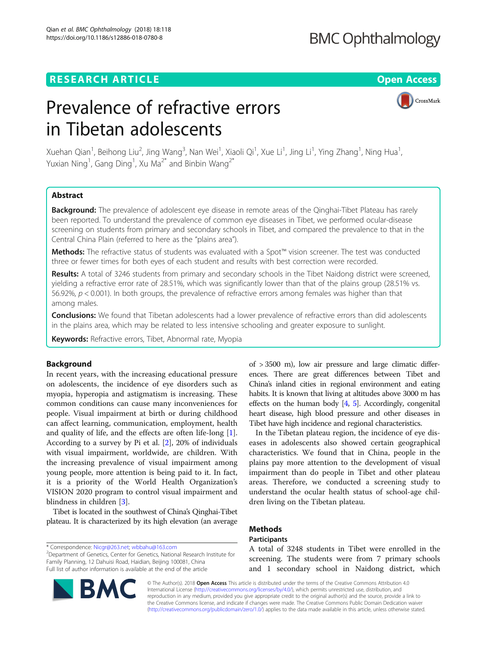# **BMC Ophthalmology**

# **RESEARCH ARTICLE Example 2018 12:30 THE Open Access**

CrossMark

# Prevalence of refractive errors in Tibetan adolescents

Xuehan Qian<sup>1</sup>, Beihong Liu<sup>2</sup>, Jing Wang<sup>3</sup>, Nan Wei<sup>1</sup>, Xiaoli Qi<sup>1</sup>, Xue Li<sup>1</sup>, Jing Li<sup>1</sup>, Ying Zhang<sup>1</sup>, Ning Hua<sup>1</sup> , Yuxian Ning<sup>1</sup>, Gang Ding<sup>1</sup>, Xu Ma<sup>2\*</sup> and Binbin Wang<sup>2\*</sup>

# Abstract

**Background:** The prevalence of adolescent eye disease in remote areas of the Qinghai-Tibet Plateau has rarely been reported. To understand the prevalence of common eye diseases in Tibet, we performed ocular-disease screening on students from primary and secondary schools in Tibet, and compared the prevalence to that in the Central China Plain (referred to here as the "plains area").

Methods: The refractive status of students was evaluated with a Spot™ vision screener. The test was conducted three or fewer times for both eyes of each student and results with best correction were recorded.

Results: A total of 3246 students from primary and secondary schools in the Tibet Naidong district were screened, yielding a refractive error rate of 28.51%, which was significantly lower than that of the plains group (28.51% vs. 56.92%,  $p < 0.001$ ). In both groups, the prevalence of refractive errors among females was higher than that among males.

**Conclusions:** We found that Tibetan adolescents had a lower prevalence of refractive errors than did adolescents in the plains area, which may be related to less intensive schooling and greater exposure to sunlight.

Keywords: Refractive errors, Tibet, Abnormal rate, Myopia

# Background

In recent years, with the increasing educational pressure on adolescents, the incidence of eye disorders such as myopia, hyperopia and astigmatism is increasing. These common conditions can cause many inconveniences for people. Visual impairment at birth or during childhood can affect learning, communication, employment, health and quality of life, and the effects are often life-long [\[1](#page-3-0)]. According to a survey by Pi et al. [[2\]](#page-3-0), 20% of individuals with visual impairment, worldwide, are children. With the increasing prevalence of visual impairment among young people, more attention is being paid to it. In fact, it is a priority of the World Health Organization's VISION 2020 program to control visual impairment and blindness in children [\[3](#page-3-0)].

Tibet is located in the southwest of China's Qinghai-Tibet plateau. It is characterized by its high elevation (an average

\* Correspondence: [Nicgr@263.net;](mailto:Nicgr@263.net) [wbbahu@163.com](mailto:wbbahu@163.com) <sup>2</sup>

Department of Genetics, Center for Genetics, National Research Institute for Family Planning, 12 Dahuisi Road, Haidian, Beijing 100081, China Full list of author information is available at the end of the article

of > 3500 m), low air pressure and large climatic differences. There are great differences between Tibet and China's inland cities in regional environment and eating habits. It is known that living at altitudes above 3000 m has effects on the human body  $[4, 5]$  $[4, 5]$  $[4, 5]$  $[4, 5]$ . Accordingly, congenital heart disease, high blood pressure and other diseases in Tibet have high incidence and regional characteristics.

In the Tibetan plateau region, the incidence of eye diseases in adolescents also showed certain geographical characteristics. We found that in China, people in the plains pay more attention to the development of visual impairment than do people in Tibet and other plateau areas. Therefore, we conducted a screening study to understand the ocular health status of school-age children living on the Tibetan plateau.

# Methods

# Participants

A total of 3248 students in Tibet were enrolled in the screening. The students were from 7 primary schools and 1 secondary school in Naidong district, which

© The Author(s). 2018 Open Access This article is distributed under the terms of the Creative Commons Attribution 4.0 International License [\(http://creativecommons.org/licenses/by/4.0/](http://creativecommons.org/licenses/by/4.0/)), which permits unrestricted use, distribution, and reproduction in any medium, provided you give appropriate credit to the original author(s) and the source, provide a link to the Creative Commons license, and indicate if changes were made. The Creative Commons Public Domain Dedication waiver [\(http://creativecommons.org/publicdomain/zero/1.0/](http://creativecommons.org/publicdomain/zero/1.0/)) applies to the data made available in this article, unless otherwise stated.

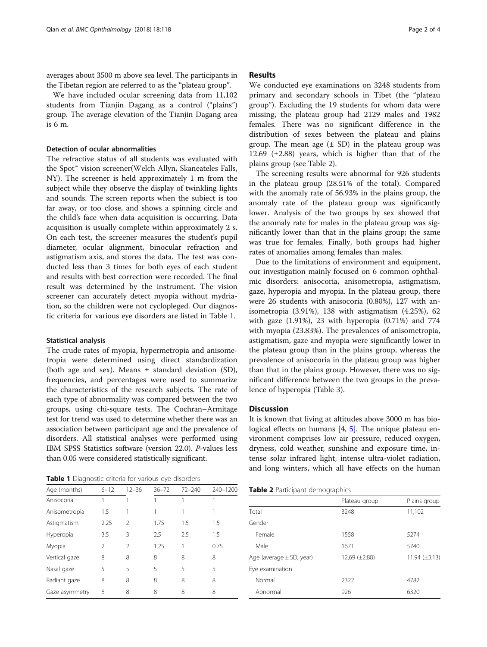averages about 3500 m above sea level. The participants in the Tibetan region are referred to as the "plateau group".

We have included ocular screening data from 11,102 students from Tianjin Dagang as a control ("plains") group. The average elevation of the Tianjin Dagang area is 6 m.

# Detection of ocular ab

The refractive status of all students was evaluated with the Spot™ vision screener(Welch Allyn, Skaneateles Falls, NY). The screener is held approximately 1 m from the subject while they observe the display of twinkling lights and sounds. The screen reports when the subject is too far away, or too close, and shows a spinning circle and the child's face when data acquisition is occurring. Data acquisition is usually complete within approximately 2 s. On each test, the screener measures the student's pupil diameter, ocular alignment, binocular refraction and astigmatism axis, and stores the data. The test was conducted less than 3 times for both eyes of each student and results with best correction were recorded. The final result was determined by the instrument. The vision screener can accurately detect myopia without mydriation, so the children were not cyclopleged. Our diagnostic criteria for various eye disorders are listed in Table 1.

### Statistical analysis

The crude rates of myopia, hypermetropia and anisometropia were determined using direct standardization (both age and sex). Means ± standard deviation (SD), frequencies, and percentages were used to summarize the characteristics of the research subjects. The rate of each type of abnormality was compared between the two groups, using chi-square tests. The Cochran–Armitage test for trend was used to determine whether there was an association between participant age and the prevalence of disorders. All statistical analyses were performed using IBM SPSS Statistics software (version 22.0). P-values less than 0.05 were considered statistically significant.

Table 1 Diagnostic criteria for various eye disorders

|                    |           |             | dist |
|--------------------|-----------|-------------|------|
| normalities        |           |             | gro  |
| $\sim$ 11 $\sim$ 1 | $\cdot$ 1 | $\cdot$ . 1 | 12.6 |

rates of anomalies among females than males.

Due to the limitations of environment and equipment, our investigation mainly focused on 6 common ophthalmic disorders: anisocoria, anisometropia, astigmatism, gaze, hyperopia and myopia. In the plateau group, there were 26 students with anisocoria (0.80%), 127 with anisometropia (3.91%), 138 with astigmatism (4.25%), 62 with gaze (1.91%), 23 with hyperopia (0.71%) and 774 with myopia (23.83%). The prevalences of anisometropia, astigmatism, gaze and myopia were significantly lower in the plateau group than in the plains group, whereas the prevalence of anisocoria in the plateau group was higher than that in the plains group. However, there was no significant difference between the two groups in the prevalence of hyperopia (Table [3](#page-2-0)).

## **Discussion**

It is known that living at altitudes above 3000 m has bio-logical effects on humans [[4,](#page-3-0) [5](#page-3-0)]. The unique plateau environment comprises low air pressure, reduced oxygen, dryness, cold weather, sunshine and exposure time, intense solar infrared light, intense ultra-violet radiation, and long winters, which all have effects on the human

| Age (months)   | $6 - 12$       | $12 - 36$ | $36 - 72$ | $72 - 240$ | 240-1200 |
|----------------|----------------|-----------|-----------|------------|----------|
| Anisocoria     |                |           |           |            |          |
| Anisometropia  | 1.5            |           |           |            |          |
| Astigmatism    | 2.25           | 2         | 1.75      | 1.5        | 1.5      |
| Hyperopia      | 3.5            | 3         | 2.5       | 2.5        | 1.5      |
| Myopia         | $\mathfrak{D}$ | 2         | 1.25      | 1          | 0.75     |
| Vertical gaze  | 8              | 8         | 8         | 8          | 8        |
| Nasal gaze     | 5              | 5         | 5         | 5          | 5        |
| Radiant gaze   | 8              | 8         | 8         | 8          | 8        |
| Gaze asymmetry | 8              | 8         | 8         | 8          | 8        |

Table 2 Participant demographics

|                              | Plateau group      | Plains group       |  |
|------------------------------|--------------------|--------------------|--|
| Total                        | 3248               | 11,102             |  |
| Gender                       |                    |                    |  |
| Female                       | 1558               | 5274               |  |
| Male                         | 1671               | 5740               |  |
| Age (average $\pm$ SD, year) | 12.69 $(\pm 2.88)$ | 11.94 $(\pm 3.13)$ |  |
| Eye examination              |                    |                    |  |
| Normal                       | 2322               | 4782               |  |
| Abnormal                     | 926                | 6320               |  |

# Results

We conducted eye examinations on 3248 students from primary and secondary schools in Tibet (the "plateau group"). Excluding the 19 students for whom data were missing, the plateau group had 2129 males and 1982 females. There was no significant difference in the ribution of sexes between the plateau and plains up. The mean age  $(\pm SD)$  in the plateau group was  $12.88$ ) years, which is higher than that of the plains group (see Table 2).

The screening results were abnormal for 926 students in the plateau group (28.51% of the total). Compared with the anomaly rate of 56.93% in the plains group, the anomaly rate of the plateau group was significantly lower. Analysis of the two groups by sex showed that the anomaly rate for males in the plateau group was significantly lower than that in the plains group; the same was true for females. Finally, both groups had higher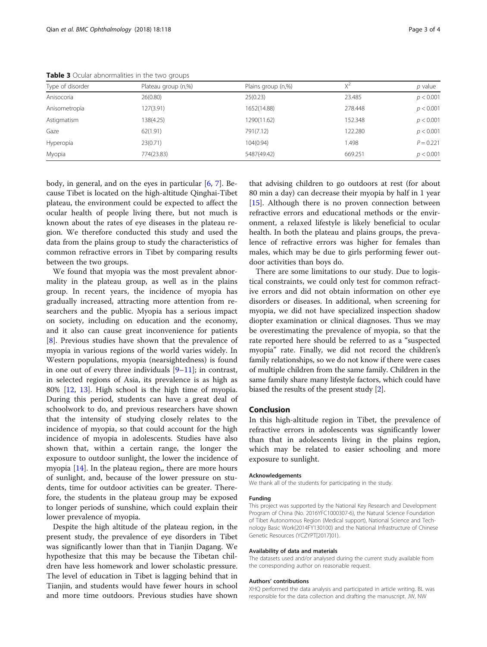|                  | $\tilde{}$          |                    |         |             |
|------------------|---------------------|--------------------|---------|-------------|
| Type of disorder | Plateau group (n,%) | Plains group (n,%) | $X^2$   | $p$ value   |
| Anisocoria       | 26(0.80)            | 25(0.23)           | 23.485  | p < 0.001   |
| Anisometropia    | 127(3.91)           | 1652(14.88)        | 278,448 | p < 0.001   |
| Astigmatism      | 138(4.25)           | 1290(11.62)        | 152.348 | p < 0.001   |
| Gaze             | 62(1.91)            | 791(7.12)          | 122.280 | p < 0.001   |
| Hyperopia        | 23(0.71)            | 104(0.94)          | 1.498   | $P = 0.221$ |
| Myopia           | 774(23.83)          | 5487(49.42)        | 669.251 | p < 0.001   |

<span id="page-2-0"></span>Table 3 Ocular abnormalities in the two groups

body, in general, and on the eyes in particular  $[6, 7]$  $[6, 7]$  $[6, 7]$  $[6, 7]$ . Because Tibet is located on the high-altitude Qinghai-Tibet plateau, the environment could be expected to affect the ocular health of people living there, but not much is known about the rates of eye diseases in the plateau region. We therefore conducted this study and used the data from the plains group to study the characteristics of common refractive errors in Tibet by comparing results between the two groups.

We found that myopia was the most prevalent abnormality in the plateau group, as well as in the plains group. In recent years, the incidence of myopia has gradually increased, attracting more attention from researchers and the public. Myopia has a serious impact on society, including on education and the economy, and it also can cause great inconvenience for patients [[8\]](#page-3-0). Previous studies have shown that the prevalence of myopia in various regions of the world varies widely. In Western populations, myopia (nearsightedness) is found in one out of every three individuals [\[9](#page-3-0)–[11](#page-3-0)]; in contrast, in selected regions of Asia, its prevalence is as high as 80% [\[12,](#page-3-0) [13](#page-3-0)]. High school is the high time of myopia. During this period, students can have a great deal of schoolwork to do, and previous researchers have shown that the intensity of studying closely relates to the incidence of myopia, so that could account for the high incidence of myopia in adolescents. Studies have also shown that, within a certain range, the longer the exposure to outdoor sunlight, the lower the incidence of myopia [[14\]](#page-3-0). In the plateau region,, there are more hours of sunlight, and, because of the lower pressure on students, time for outdoor activities can be greater. Therefore, the students in the plateau group may be exposed to longer periods of sunshine, which could explain their lower prevalence of myopia.

Despite the high altitude of the plateau region, in the present study, the prevalence of eye disorders in Tibet was significantly lower than that in Tianjin Dagang. We hypothesize that this may be because the Tibetan children have less homework and lower scholastic pressure. The level of education in Tibet is lagging behind that in Tianjin, and students would have fewer hours in school and more time outdoors. Previous studies have shown

that advising children to go outdoors at rest (for about 80 min a day) can decrease their myopia by half in 1 year [[15\]](#page-3-0). Although there is no proven connection between refractive errors and educational methods or the environment, a relaxed lifestyle is likely beneficial to ocular health. In both the plateau and plains groups, the prevalence of refractive errors was higher for females than males, which may be due to girls performing fewer outdoor activities than boys do.

There are some limitations to our study. Due to logistical constraints, we could only test for common refractive errors and did not obtain information on other eye disorders or diseases. In additional, when screening for myopia, we did not have specialized inspection shadow diopter examination or clinical diagnoses. Thus we may be overestimating the prevalence of myopia, so that the rate reported here should be referred to as a "suspected myopia" rate. Finally, we did not record the children's family relationships, so we do not know if there were cases of multiple children from the same family. Children in the same family share many lifestyle factors, which could have biased the results of the present study [\[2](#page-3-0)].

# Conclusion

In this high-altitude region in Tibet, the prevalence of refractive errors in adolescents was significantly lower than that in adolescents living in the plains region, which may be related to easier schooling and more exposure to sunlight.

#### Acknowledgements

We thank all of the students for participating in the study.

#### Funding

This project was supported by the National Key Research and Development Program of China (No. 2016YFC1000307-6), the Natural Science Foundation of Tibet Autonomous Region (Medical support), National Science and Technology Basic Work(2014FY130100) and the National Infrastructure of Chinese Genetic Resources (YCZYPT[2017]01).

#### Availability of data and materials

The datasets used and/or analysed during the current study available from the corresponding author on reasonable request.

#### Authors' contributions

XHQ performed the data analysis and participated in article writing. BL was responsible for the data collection and drafting the manuscript. JW, NW